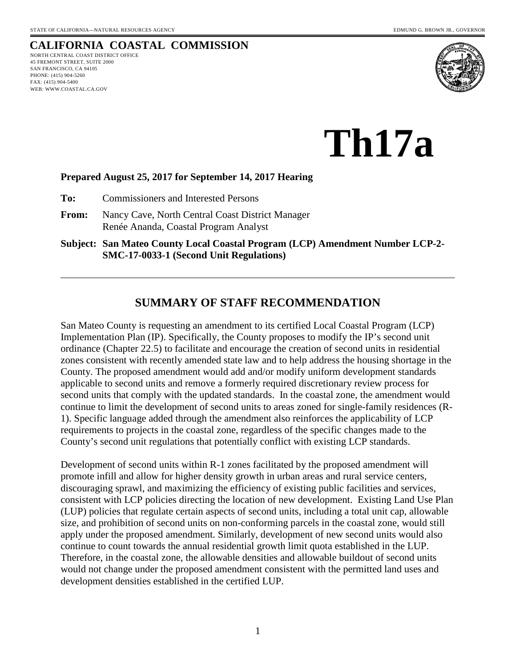## **CALIFORNIA COASTAL COMMISSION**

NORTH CENTRAL COAST DISTRICT OFFICE 45 FREMONT STREET, SUITE 2000 45 FREMONT STREET, SUIT<br>SAN FRANCISCO, CA 94105 PHONE: (415) 904-5260 FAX: (415) 904-5400 WEB: WWW.COASTAL.CA.GOV



**Th17a** 

#### **Prepared August 25, 2017 for September 14, 2017 Hearing**

**To:** Commissioners and Interested Persons

- **From:** Nancy Cave, North Central Coast District Manager Renée Ananda, Coastal Program Analyst
- **Subject: San Mateo County Local Coastal Program (LCP) Amendment Number LCP-2- SMC-17-0033-1 (Second Unit Regulations)**

### **SUMMARY OF STAFF RECOMMENDATION**

San Mateo County is requesting an amendment to its certified Local Coastal Program (LCP) Implementation Plan (IP). Specifically, the County proposes to modify the IP's second unit ordinance (Chapter 22.5) to facilitate and encourage the creation of second units in residential zones consistent with recently amended state law and to help address the housing shortage in the County. The proposed amendment would add and/or modify uniform development standards applicable to second units and remove a formerly required discretionary review process for second units that comply with the updated standards. In the coastal zone, the amendment would continue to limit the development of second units to areas zoned for single-family residences (R-1). Specific language added through the amendment also reinforces the applicability of LCP requirements to projects in the coastal zone, regardless of the specific changes made to the County's second unit regulations that potentially conflict with existing LCP standards.

Development of second units within R-1 zones facilitated by the proposed amendment will promote infill and allow for higher density growth in urban areas and rural service centers, discouraging sprawl, and maximizing the efficiency of existing public facilities and services, consistent with LCP policies directing the location of new development. Existing Land Use Plan (LUP) policies that regulate certain aspects of second units, including a total unit cap, allowable size, and prohibition of second units on non-conforming parcels in the coastal zone, would still apply under the proposed amendment. Similarly, development of new second units would also continue to count towards the annual residential growth limit quota established in the LUP. Therefore, in the coastal zone, the allowable densities and allowable buildout of second units would not change under the proposed amendment consistent with the permitted land uses and development densities established in the certified LUP.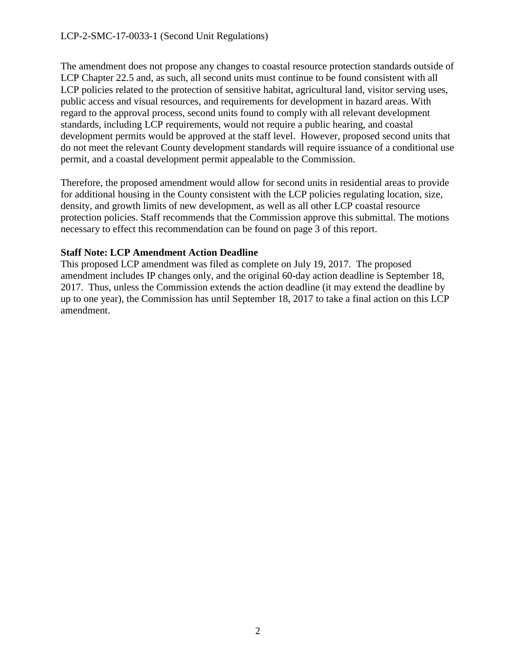The amendment does not propose any changes to coastal resource protection standards outside of LCP Chapter 22.5 and, as such, all second units must continue to be found consistent with all LCP policies related to the protection of sensitive habitat, agricultural land, visitor serving uses, public access and visual resources, and requirements for development in hazard areas. With regard to the approval process, second units found to comply with all relevant development standards, including LCP requirements, would not require a public hearing, and coastal development permits would be approved at the staff level. However, proposed second units that do not meet the relevant County development standards will require issuance of a conditional use permit, and a coastal development permit appealable to the Commission.

Therefore, the proposed amendment would allow for second units in residential areas to provide for additional housing in the County consistent with the LCP policies regulating location, size, density, and growth limits of new development, as well as all other LCP coastal resource protection policies. Staff recommends that the Commission approve this submittal. The motions necessary to effect this recommendation can be found on page 3 of this report.

#### **Staff Note: LCP Amendment Action Deadline**

This proposed LCP amendment was filed as complete on July 19, 2017. The proposed amendment includes IP changes only, and the original 60-day action deadline is September 18, 2017. Thus, unless the Commission extends the action deadline (it may extend the deadline by up to one year), the Commission has until September 18, 2017 to take a final action on this LCP amendment.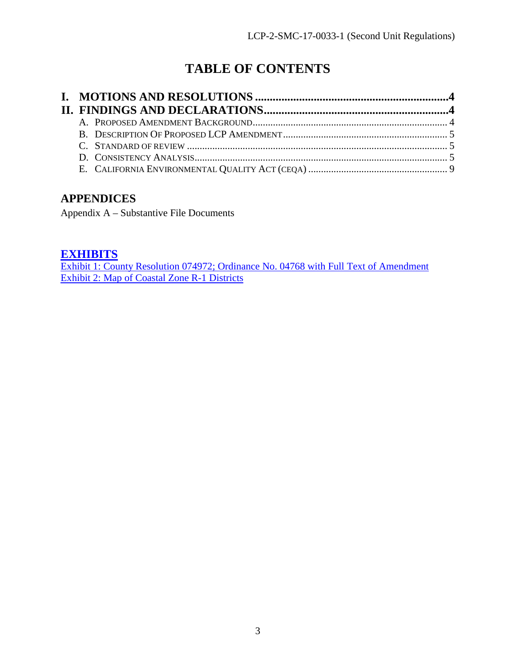# **TABLE OF CONTENTS**

## **APPENDICES**

Appendix A – Substantive File Documents

## **[EXHIBITS](https://documents.coastal.ca.gov/reports/2017/9/th17a/th17a-9-2017-report.pdf)**

[Exhibit 1: County Resolution 074972; Ordinance No. 04768 with Full Text of Amendment](https://documents.coastal.ca.gov/reports/2017/9/th17a/th17a-9-2017-report.pdf)  [Exhibit 2: Map of Coastal Zone R-1 Districts](https://documents.coastal.ca.gov/reports/2017/9/th17a/th17a-9-2017-report.pdf)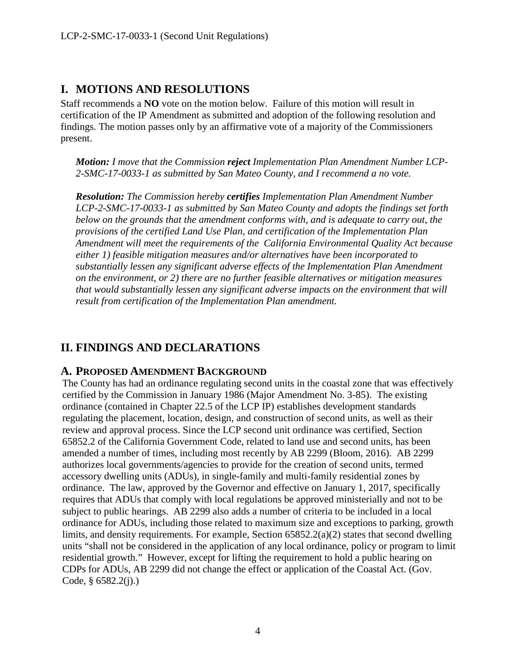## <span id="page-3-0"></span>**I. MOTIONS AND RESOLUTIONS**

Staff recommends a **NO** vote on the motion below. Failure of this motion will result in certification of the IP Amendment as submitted and adoption of the following resolution and findings. The motion passes only by an affirmative vote of a majority of the Commissioners present.

*Motion: I move that the Commission reject Implementation Plan Amendment Number LCP-2-SMC-17-0033-1 as submitted by San Mateo County, and I recommend a no vote.* 

*Resolution: The Commission hereby certifies Implementation Plan Amendment Number LCP-2-SMC-17-0033-1 as submitted by San Mateo County and adopts the findings set forth below on the grounds that the amendment conforms with, and is adequate to carry out, the provisions of the certified Land Use Plan, and certification of the Implementation Plan Amendment will meet the requirements of the California Environmental Quality Act because either 1) feasible mitigation measures and/or alternatives have been incorporated to substantially lessen any significant adverse effects of the Implementation Plan Amendment on the environment, or 2) there are no further feasible alternatives or mitigation measures that would substantially lessen any significant adverse impacts on the environment that will result from certification of the Implementation Plan amendment.* 

### <span id="page-3-1"></span>**II. FINDINGS AND DECLARATIONS**

#### <span id="page-3-2"></span>**A. PROPOSED AMENDMENT BACKGROUND**

The County has had an ordinance regulating second units in the coastal zone that was effectively certified by the Commission in January 1986 (Major Amendment No. 3-85). The existing ordinance (contained in Chapter 22.5 of the LCP IP) establishes development standards regulating the placement, location, design, and construction of second units, as well as their review and approval process. Since the LCP second unit ordinance was certified, Section 65852.2 of the California Government Code, related to land use and second units, has been amended a number of times, including most recently by AB 2299 (Bloom, 2016). AB 2299 authorizes local governments/agencies to provide for the creation of second units, termed accessory dwelling units (ADUs), in single-family and multi-family residential zones by ordinance. The law, approved by the Governor and effective on January 1, 2017, specifically requires that ADUs that comply with local regulations be approved ministerially and not to be subject to public hearings. AB 2299 also adds a number of criteria to be included in a local ordinance for ADUs, including those related to maximum size and exceptions to parking, growth limits, and density requirements. For example, Section 65852.2(a)(2) states that second dwelling units "shall not be considered in the application of any local ordinance, policy or program to limit residential growth." However, except for lifting the requirement to hold a public hearing on CDPs for ADUs, AB 2299 did not change the effect or application of the Coastal Act. (Gov. Code,  $§$  6582.2(j).)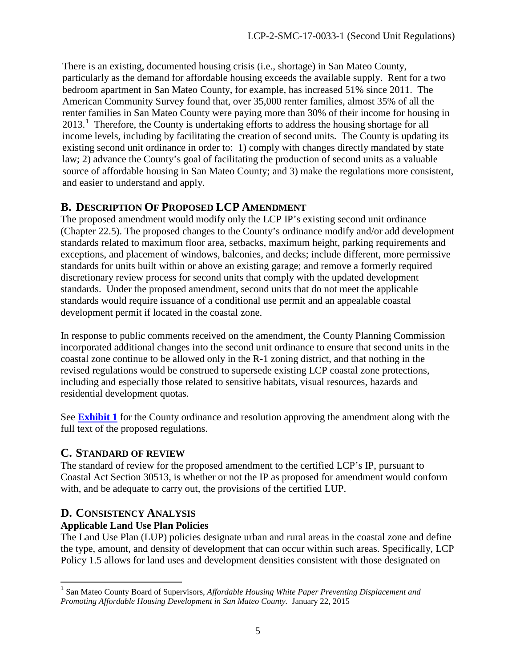There is an existing, documented housing crisis (i.e., shortage) in San Mateo County, particularly as the demand for affordable housing exceeds the available supply. Rent for a two bedroom apartment in San Mateo County, for example, has increased 51% since 2011. The American Community Survey found that, over 35,000 renter families, almost 35% of all the renter families in San Mateo County were paying more than 30% of their income for housing in 20[1](#page-4-3)3.<sup>1</sup> Therefore, the County is undertaking efforts to address the housing shortage for all income levels, including by facilitating the creation of second units. The County is updating its existing second unit ordinance in order to: 1) comply with changes directly mandated by state law; 2) advance the County's goal of facilitating the production of second units as a valuable source of affordable housing in San Mateo County; and 3) make the regulations more consistent, and easier to understand and apply.

### <span id="page-4-0"></span>**B. DESCRIPTION OF PROPOSED LCP AMENDMENT**

The proposed amendment would modify only the LCP IP's existing second unit ordinance (Chapter 22.5). The proposed changes to the County's ordinance modify and/or add development standards related to maximum floor area, setbacks, maximum height, parking requirements and exceptions, and placement of windows, balconies, and decks; include different, more permissive standards for units built within or above an existing garage; and remove a formerly required discretionary review process for second units that comply with the updated development standards. Under the proposed amendment, second units that do not meet the applicable standards would require issuance of a conditional use permit and an appealable coastal development permit if located in the coastal zone.

In response to public comments received on the amendment, the County Planning Commission incorporated additional changes into the second unit ordinance to ensure that second units in the coastal zone continue to be allowed only in the R-1 zoning district, and that nothing in the revised regulations would be construed to supersede existing LCP coastal zone protections, including and especially those related to sensitive habitats, visual resources, hazards and residential development quotas.

See **[Exhibit 1](https://documents.coastal.ca.gov/reports/2017/9/th17a/th17a-9-2017-report.pdf)** for the County ordinance and resolution approving the amendment along with the full text of the proposed regulations.

#### <span id="page-4-1"></span>**C. STANDARD OF REVIEW**

The standard of review for the proposed amendment to the certified LCP's IP, pursuant to Coastal Act Section 30513, is whether or not the IP as proposed for amendment would conform with, and be adequate to carry out, the provisions of the certified LUP.

# <span id="page-4-2"></span>**D. CONSISTENCY ANALYSIS**

#### **Applicable Land Use Plan Policies**

The Land Use Plan (LUP) policies designate urban and rural areas in the coastal zone and define the type, amount, and density of development that can occur within such areas. Specifically, LCP Policy 1.5 allows for land uses and development densities consistent with those designated on

<span id="page-4-3"></span> <sup>1</sup> San Mateo County Board of Supervisors, *Affordable Housing White Paper Preventing Displacement and Promoting Affordable Housing Development in San Mateo County.* January 22, 2015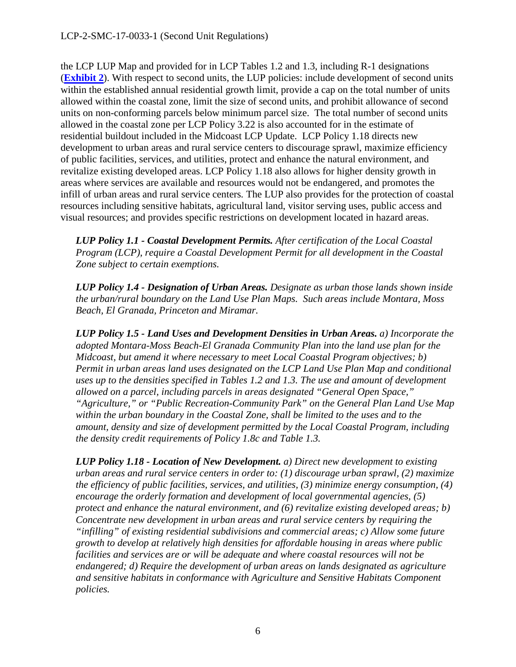the LCP LUP Map and provided for in LCP Tables 1.2 and 1.3, including R-1 designations (**[Exhibit 2](https://documents.coastal.ca.gov/reports/2017/9/th17a/th17a-9-2017-report.pdf)**). With respect to second units, the LUP policies: include development of second units within the established annual residential growth limit, provide a cap on the total number of units allowed within the coastal zone, limit the size of second units, and prohibit allowance of second units on non-conforming parcels below minimum parcel size. The total number of second units allowed in the coastal zone per LCP Policy 3.22 is also accounted for in the estimate of residential buildout included in the Midcoast LCP Update. LCP Policy 1.18 directs new development to urban areas and rural service centers to discourage sprawl, maximize efficiency of public facilities, services, and utilities, protect and enhance the natural environment, and revitalize existing developed areas. LCP Policy 1.18 also allows for higher density growth in areas where services are available and resources would not be endangered, and promotes the infill of urban areas and rural service centers*.* The LUP also provides for the protection of coastal resources including sensitive habitats, agricultural land, visitor serving uses, public access and visual resources; and provides specific restrictions on development located in hazard areas.

*LUP Policy 1.1 - Coastal Development Permits. After certification of the Local Coastal Program (LCP), require a Coastal Development Permit for all development in the Coastal Zone subject to certain exemptions.* 

*LUP Policy 1.4 - Designation of Urban Areas. Designate as urban those lands shown inside the urban/rural boundary on the Land Use Plan Maps. Such areas include Montara, Moss Beach, El Granada, Princeton and Miramar.* 

*LUP Policy 1.5 - Land Uses and Development Densities in Urban Areas. a) Incorporate the adopted Montara-Moss Beach-El Granada Community Plan into the land use plan for the Midcoast, but amend it where necessary to meet Local Coastal Program objectives; b) Permit in urban areas land uses designated on the LCP Land Use Plan Map and conditional uses up to the densities specified in Tables 1.2 and 1.3. The use and amount of development allowed on a parcel, including parcels in areas designated "General Open Space," "Agriculture," or "Public Recreation-Community Park" on the General Plan Land Use Map within the urban boundary in the Coastal Zone, shall be limited to the uses and to the amount, density and size of development permitted by the Local Coastal Program, including the density credit requirements of Policy 1.8c and Table 1.3.* 

*LUP Policy 1.18 - Location of New Development. a) Direct new development to existing urban areas and rural service centers in order to: (1) discourage urban sprawl, (2) maximize the efficiency of public facilities, services, and utilities, (3) minimize energy consumption, (4) encourage the orderly formation and development of local governmental agencies, (5) protect and enhance the natural environment, and (6) revitalize existing developed areas; b) Concentrate new development in urban areas and rural service centers by requiring the "infilling" of existing residential subdivisions and commercial areas; c) Allow some future growth to develop at relatively high densities for affordable housing in areas where public facilities and services are or will be adequate and where coastal resources will not be endangered; d) Require the development of urban areas on lands designated as agriculture and sensitive habitats in conformance with Agriculture and Sensitive Habitats Component policies.*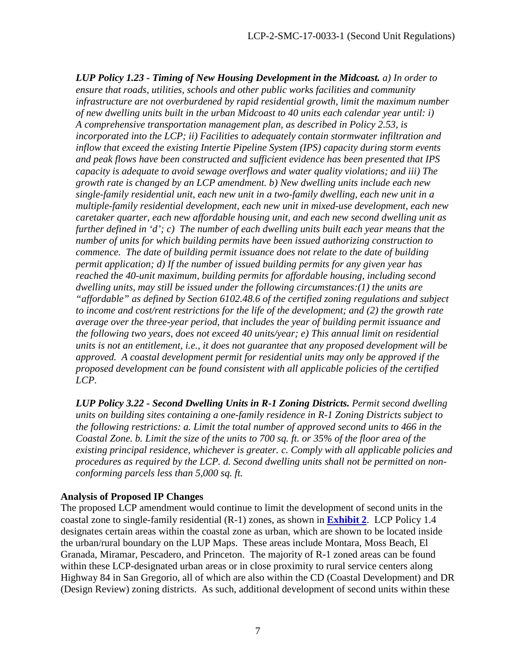*LUP Policy 1.23 - Timing of New Housing Development in the Midcoast. a) In order to ensure that roads, utilities, schools and other public works facilities and community infrastructure are not overburdened by rapid residential growth, limit the maximum number of new dwelling units built in the urban Midcoast to 40 units each calendar year until: i) A comprehensive transportation management plan, as described in Policy 2.53, is incorporated into the LCP; ii) Facilities to adequately contain stormwater infiltration and inflow that exceed the existing Intertie Pipeline System (IPS) capacity during storm events and peak flows have been constructed and sufficient evidence has been presented that IPS capacity is adequate to avoid sewage overflows and water quality violations; and iii) The growth rate is changed by an LCP amendment. b) New dwelling units include each new single-family residential unit, each new unit in a two-family dwelling, each new unit in a multiple-family residential development, each new unit in mixed-use development, each new caretaker quarter, each new affordable housing unit, and each new second dwelling unit as further defined in 'd'; c) The number of each dwelling units built each year means that the number of units for which building permits have been issued authorizing construction to commence. The date of building permit issuance does not relate to the date of building permit application; d) If the number of issued building permits for any given year has reached the 40-unit maximum, building permits for affordable housing, including second dwelling units, may still be issued under the following circumstances:(1) the units are "affordable" as defined by Section 6102.48.6 of the certified zoning regulations and subject to income and cost/rent restrictions for the life of the development; and (2) the growth rate average over the three-year period, that includes the year of building permit issuance and the following two years, does not exceed 40 units/year; e) This annual limit on residential units is not an entitlement, i.e., it does not guarantee that any proposed development will be approved. A coastal development permit for residential units may only be approved if the proposed development can be found consistent with all applicable policies of the certified LCP.*

*LUP Policy 3.22 - Second Dwelling Units in R-1 Zoning Districts. Permit second dwelling units on building sites containing a one-family residence in R-1 Zoning Districts subject to the following restrictions: a. Limit the total number of approved second units to 466 in the Coastal Zone. b. Limit the size of the units to 700 sq. ft. or 35% of the floor area of the existing principal residence, whichever is greater. c. Comply with all applicable policies and procedures as required by the LCP. d. Second dwelling units shall not be permitted on nonconforming parcels less than 5,000 sq. ft.*

#### **Analysis of Proposed IP Changes**

The proposed LCP amendment would continue to limit the development of second units in the coastal zone to single-family residential (R-1) zones, as shown in **[Exhibit 2](https://documents.coastal.ca.gov/reports/2017/9/th17a/th17a-9-2017-report.pdf)**. LCP Policy 1.4 designates certain areas within the coastal zone as urban, which are shown to be located inside the urban/rural boundary on the LUP Maps. These areas include Montara, Moss Beach, El Granada, Miramar, Pescadero, and Princeton. The majority of R-1 zoned areas can be found within these LCP-designated urban areas or in close proximity to rural service centers along Highway 84 in San Gregorio, all of which are also within the CD (Coastal Development) and DR (Design Review) zoning districts. As such, additional development of second units within these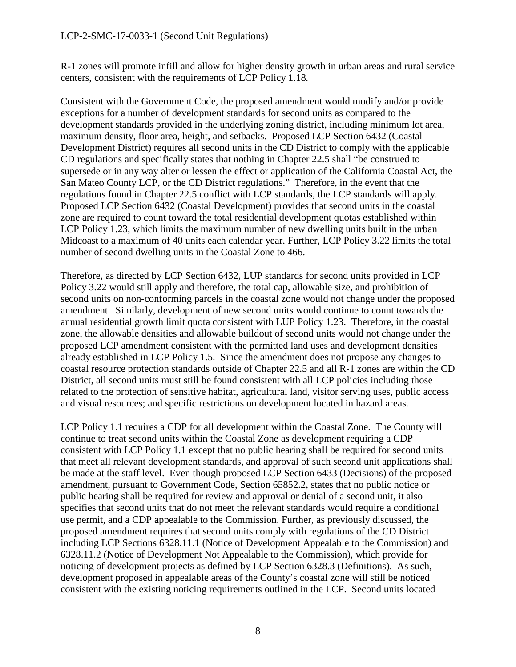R-1 zones will promote infill and allow for higher density growth in urban areas and rural service centers, consistent with the requirements of LCP Policy 1.18*.* 

Consistent with the Government Code, the proposed amendment would modify and/or provide exceptions for a number of development standards for second units as compared to the development standards provided in the underlying zoning district, including minimum lot area, maximum density, floor area, height, and setbacks. Proposed LCP Section 6432 (Coastal Development District) requires all second units in the CD District to comply with the applicable CD regulations and specifically states that nothing in Chapter 22.5 shall "be construed to supersede or in any way alter or lessen the effect or application of the California Coastal Act, the San Mateo County LCP, or the CD District regulations." Therefore, in the event that the regulations found in Chapter 22.5 conflict with LCP standards, the LCP standards will apply. Proposed LCP Section 6432 (Coastal Development) provides that second units in the coastal zone are required to count toward the total residential development quotas established within LCP Policy 1.23, which limits the maximum number of new dwelling units built in the urban Midcoast to a maximum of 40 units each calendar year. Further, LCP Policy 3.22 limits the total number of second dwelling units in the Coastal Zone to 466.

Therefore, as directed by LCP Section 6432, LUP standards for second units provided in LCP Policy 3.22 would still apply and therefore, the total cap, allowable size, and prohibition of second units on non-conforming parcels in the coastal zone would not change under the proposed amendment. Similarly, development of new second units would continue to count towards the annual residential growth limit quota consistent with LUP Policy 1.23. Therefore, in the coastal zone, the allowable densities and allowable buildout of second units would not change under the proposed LCP amendment consistent with the permitted land uses and development densities already established in LCP Policy 1.5. Since the amendment does not propose any changes to coastal resource protection standards outside of Chapter 22.5 and all R-1 zones are within the CD District, all second units must still be found consistent with all LCP policies including those related to the protection of sensitive habitat, agricultural land, visitor serving uses, public access and visual resources; and specific restrictions on development located in hazard areas.

LCP Policy 1.1 requires a CDP for all development within the Coastal Zone. The County will continue to treat second units within the Coastal Zone as development requiring a CDP consistent with LCP Policy 1.1 except that no public hearing shall be required for second units that meet all relevant development standards, and approval of such second unit applications shall be made at the staff level. Even though proposed LCP Section 6433 (Decisions) of the proposed amendment, pursuant to Government Code, Section 65852.2, states that no public notice or public hearing shall be required for review and approval or denial of a second unit, it also specifies that second units that do not meet the relevant standards would require a conditional use permit, and a CDP appealable to the Commission. Further, as previously discussed, the proposed amendment requires that second units comply with regulations of the CD District including LCP Sections 6328.11.1 (Notice of Development Appealable to the Commission) and 6328.11.2 (Notice of Development Not Appealable to the Commission), which provide for noticing of development projects as defined by LCP Section 6328.3 (Definitions). As such, development proposed in appealable areas of the County's coastal zone will still be noticed consistent with the existing noticing requirements outlined in the LCP. Second units located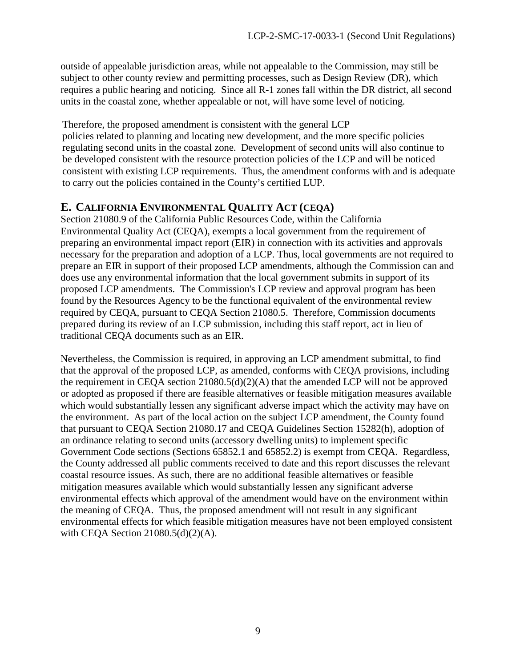outside of appealable jurisdiction areas, while not appealable to the Commission, may still be subject to other county review and permitting processes, such as Design Review (DR), which requires a public hearing and noticing. Since all R-1 zones fall within the DR district, all second units in the coastal zone, whether appealable or not, will have some level of noticing.

Therefore, the proposed amendment is consistent with the general LCP

policies related to planning and locating new development, and the more specific policies regulating second units in the coastal zone. Development of second units will also continue to be developed consistent with the resource protection policies of the LCP and will be noticed consistent with existing LCP requirements. Thus, the amendment conforms with and is adequate to carry out the policies contained in the County's certified LUP.

### <span id="page-8-0"></span>**E. CALIFORNIA ENVIRONMENTAL QUALITY ACT (CEQA)**

Section 21080.9 of the California Public Resources Code, within the California Environmental Quality Act (CEQA), exempts a local government from the requirement of preparing an environmental impact report (EIR) in connection with its activities and approvals necessary for the preparation and adoption of a LCP. Thus, local governments are not required to prepare an EIR in support of their proposed LCP amendments, although the Commission can and does use any environmental information that the local government submits in support of its proposed LCP amendments. The Commission's LCP review and approval program has been found by the Resources Agency to be the functional equivalent of the environmental review required by CEQA, pursuant to CEQA Section 21080.5. Therefore, Commission documents prepared during its review of an LCP submission, including this staff report, act in lieu of traditional CEQA documents such as an EIR.

Nevertheless, the Commission is required, in approving an LCP amendment submittal, to find that the approval of the proposed LCP, as amended, conforms with CEQA provisions, including the requirement in CEQA section 21080.5(d)(2)(A) that the amended LCP will not be approved or adopted as proposed if there are feasible alternatives or feasible mitigation measures available which would substantially lessen any significant adverse impact which the activity may have on the environment. As part of the local action on the subject LCP amendment, the County found that pursuant to CEQA Section 21080.17 and CEQA Guidelines Section 15282(h), adoption of an ordinance relating to second units (accessory dwelling units) to implement specific Government Code sections (Sections 65852.1 and 65852.2) is exempt from CEQA. Regardless, the County addressed all public comments received to date and this report discusses the relevant coastal resource issues. As such, there are no additional feasible alternatives or feasible mitigation measures available which would substantially lessen any significant adverse environmental effects which approval of the amendment would have on the environment within the meaning of CEQA. Thus, the proposed amendment will not result in any significant environmental effects for which feasible mitigation measures have not been employed consistent with CEQA Section 21080.5(d)(2)(A).